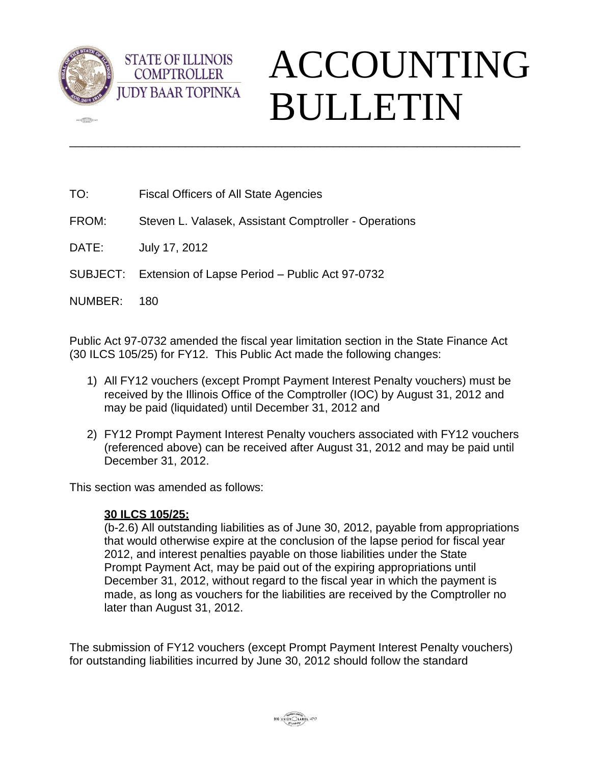

 $\sqrt{2}$ 

## ACCOUNTING BULLETIN

TO: Fiscal Officers of All State Agencies

**STATE OF ILLINOIS COMPTROLLER** 

FROM: Steven L. Valasek, Assistant Comptroller - Operations

DATE: July 17, 2012

SUBJECT: Extension of Lapse Period – Public Act 97-0732

NUMBER: 180

Public Act 97-0732 amended the fiscal year limitation section in the State Finance Act (30 ILCS 105/25) for FY12. This Public Act made the following changes:

\_\_\_\_\_\_\_\_\_\_\_\_\_\_\_\_\_\_\_\_\_\_\_\_\_\_\_\_\_\_\_\_\_\_\_\_\_\_\_\_\_\_\_\_\_\_\_\_\_\_\_\_\_\_\_\_\_\_\_\_\_\_\_\_\_\_\_\_\_\_

- 1) All FY12 vouchers (except Prompt Payment Interest Penalty vouchers) must be received by the Illinois Office of the Comptroller (IOC) by August 31, 2012 and may be paid (liquidated) until December 31, 2012 and
- 2) FY12 Prompt Payment Interest Penalty vouchers associated with FY12 vouchers (referenced above) can be received after August 31, 2012 and may be paid until December 31, 2012.

This section was amended as follows:

## **30 ILCS 105/25:**

(b-2.6) All outstanding liabilities as of June 30, 2012, payable from appropriations that would otherwise expire at the conclusion of the lapse period for fiscal year 2012, and interest penalties payable on those liabilities under the State Prompt Payment Act, may be paid out of the expiring appropriations until December 31, 2012, without regard to the fiscal year in which the payment is made, as long as vouchers for the liabilities are received by the Comptroller no later than August 31, 2012.

The submission of FY12 vouchers (except Prompt Payment Interest Penalty vouchers) for outstanding liabilities incurred by June 30, 2012 should follow the standard